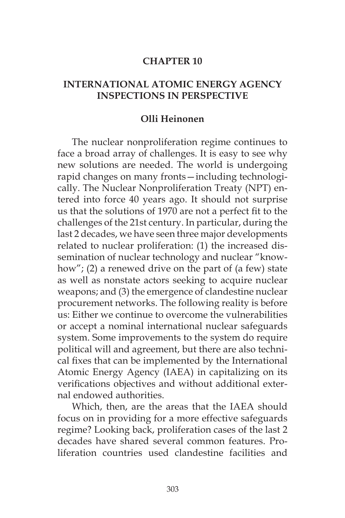#### **CHAPTER 10**

#### **INTERNATIONAL ATOMIC ENERGY AGENCY INSPECTIONS IN PERSPECTIVE**

#### **Olli Heinonen**

The nuclear nonproliferation regime continues to face a broad array of challenges. It is easy to see why new solutions are needed. The world is undergoing rapid changes on many fronts—including technologically. The Nuclear Nonproliferation Treaty (NPT) entered into force 40 years ago. It should not surprise us that the solutions of 1970 are not a perfect fit to the challenges of the 21st century. In particular, during the last 2 decades, we have seen three major developments related to nuclear proliferation: (1) the increased dissemination of nuclear technology and nuclear "knowhow"; (2) a renewed drive on the part of (a few) state as well as nonstate actors seeking to acquire nuclear weapons; and (3) the emergence of clandestine nuclear procurement networks. The following reality is before us: Either we continue to overcome the vulnerabilities or accept a nominal international nuclear safeguards system. Some improvements to the system do require political will and agreement, but there are also technical fixes that can be implemented by the International Atomic Energy Agency (IAEA) in capitalizing on its verifications objectives and without additional external endowed authorities.

Which, then, are the areas that the IAEA should focus on in providing for a more effective safeguards regime? Looking back, proliferation cases of the last 2 decades have shared several common features. Proliferation countries used clandestine facilities and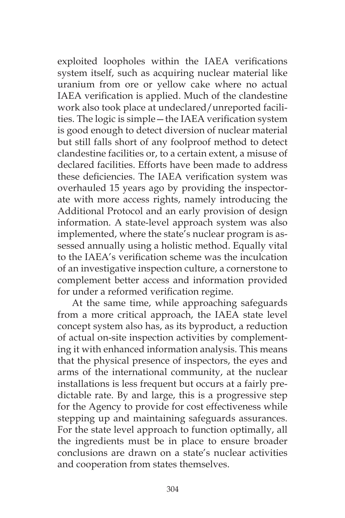exploited loopholes within the IAEA verifications system itself, such as acquiring nuclear material like uranium from ore or yellow cake where no actual IAEA verification is applied. Much of the clandestine work also took place at undeclared/unreported facilities. The logic is simple—the IAEA verification system is good enough to detect diversion of nuclear material but still falls short of any foolproof method to detect clandestine facilities or, to a certain extent, a misuse of declared facilities. Efforts have been made to address these deficiencies. The IAEA verification system was overhauled 15 years ago by providing the inspectorate with more access rights, namely introducing the Additional Protocol and an early provision of design information. A state-level approach system was also implemented, where the state's nuclear program is assessed annually using a holistic method. Equally vital to the IAEA's verification scheme was the inculcation of an investigative inspection culture, a cornerstone to complement better access and information provided for under a reformed verification regime.

At the same time, while approaching safeguards from a more critical approach, the IAEA state level concept system also has, as its byproduct, a reduction of actual on-site inspection activities by complementing it with enhanced information analysis. This means that the physical presence of inspectors, the eyes and arms of the international community, at the nuclear installations is less frequent but occurs at a fairly predictable rate. By and large, this is a progressive step for the Agency to provide for cost effectiveness while stepping up and maintaining safeguards assurances. For the state level approach to function optimally, all the ingredients must be in place to ensure broader conclusions are drawn on a state's nuclear activities and cooperation from states themselves.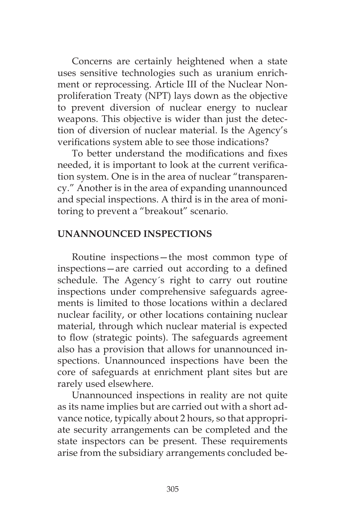Concerns are certainly heightened when a state uses sensitive technologies such as uranium enrichment or reprocessing. Article III of the Nuclear Nonproliferation Treaty (NPT) lays down as the objective to prevent diversion of nuclear energy to nuclear weapons. This objective is wider than just the detection of diversion of nuclear material. Is the Agency's verifications system able to see those indications?

To better understand the modifications and fixes needed, it is important to look at the current verification system. One is in the area of nuclear "transparency." Another is in the area of expanding unannounced and special inspections. A third is in the area of monitoring to prevent a "breakout" scenario.

# **UNANNOUNCED INSPECTIONS**

Routine inspections—the most common type of inspections—are carried out according to a defined schedule. The Agency´s right to carry out routine inspections under comprehensive safeguards agreements is limited to those locations within a declared nuclear facility, or other locations containing nuclear material, through which nuclear material is expected to flow (strategic points). The safeguards agreement also has a provision that allows for unannounced inspections. Unannounced inspections have been the core of safeguards at enrichment plant sites but are rarely used elsewhere.

Unannounced inspections in reality are not quite as its name implies but are carried out with a short advance notice, typically about 2 hours, so that appropriate security arrangements can be completed and the state inspectors can be present. These requirements arise from the subsidiary arrangements concluded be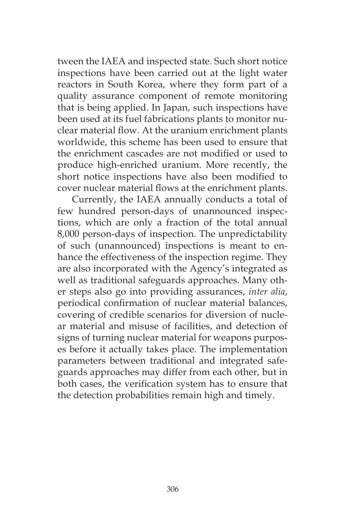tween the IAEA and inspected state. Such short notice inspections have been carried out at the light water reactors in South Korea, where they form part of a quality assurance component of remote monitoring that is being applied. In Japan, such inspections have been used at its fuel fabrications plants to monitor nuclear material flow. At the uranium enrichment plants worldwide, this scheme has been used to ensure that the enrichment cascades are not modified or used to produce high-enriched uranium. More recently, the short notice inspections have also been modified to cover nuclear material flows at the enrichment plants.

Currently, the IAEA annually conducts a total of few hundred person-days of unannounced inspections, which are only a fraction of the total annual 8,000 person-days of inspection. The unpredictability of such (unannounced) inspections is meant to enhance the effectiveness of the inspection regime. They are also incorporated with the Agency's integrated as well as traditional safeguards approaches. Many other steps also go into providing assurances, *inter alia*, periodical confirmation of nuclear material balances, covering of credible scenarios for diversion of nuclear material and misuse of facilities, and detection of signs of turning nuclear material for weapons purposes before it actually takes place. The implementation parameters between traditional and integrated safeguards approaches may differ from each other, but in both cases, the verification system has to ensure that the detection probabilities remain high and timely.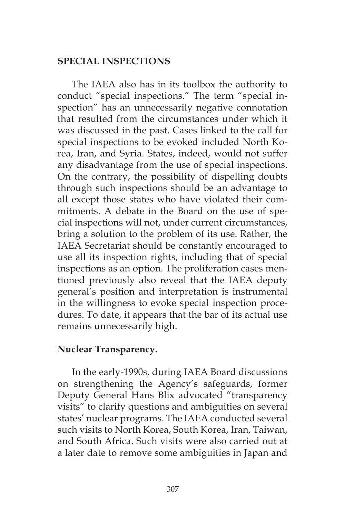# **SPECIAL INSPECTIONS**

The IAEA also has in its toolbox the authority to conduct "special inspections." The term "special inspection" has an unnecessarily negative connotation that resulted from the circumstances under which it was discussed in the past. Cases linked to the call for special inspections to be evoked included North Korea, Iran, and Syria. States, indeed, would not suffer any disadvantage from the use of special inspections. On the contrary, the possibility of dispelling doubts through such inspections should be an advantage to all except those states who have violated their commitments. A debate in the Board on the use of special inspections will not, under current circumstances, bring a solution to the problem of its use. Rather, the IAEA Secretariat should be constantly encouraged to use all its inspection rights, including that of special inspections as an option. The proliferation cases mentioned previously also reveal that the IAEA deputy general's position and interpretation is instrumental in the willingness to evoke special inspection procedures. To date, it appears that the bar of its actual use remains unnecessarily high.

# **Nuclear Transparency.**

In the early-1990s, during IAEA Board discussions on strengthening the Agency's safeguards, former Deputy General Hans Blix advocated "transparency visits" to clarify questions and ambiguities on several states' nuclear programs. The IAEA conducted several such visits to North Korea, South Korea, Iran, Taiwan, and South Africa. Such visits were also carried out at a later date to remove some ambiguities in Japan and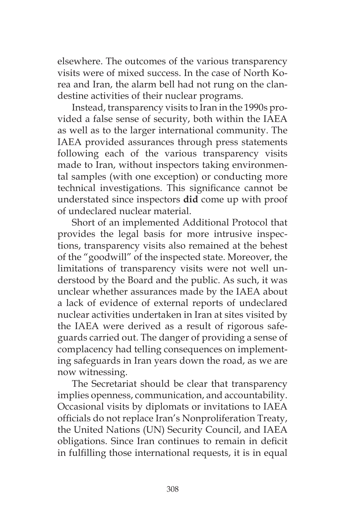elsewhere. The outcomes of the various transparency visits were of mixed success. In the case of North Korea and Iran, the alarm bell had not rung on the clandestine activities of their nuclear programs.

Instead, transparency visits to Iran in the 1990s provided a false sense of security, both within the IAEA as well as to the larger international community. The IAEA provided assurances through press statements following each of the various transparency visits made to Iran, without inspectors taking environmental samples (with one exception) or conducting more technical investigations. This significance cannot be understated since inspectors **did** come up with proof of undeclared nuclear material.

Short of an implemented Additional Protocol that provides the legal basis for more intrusive inspections, transparency visits also remained at the behest of the "goodwill" of the inspected state. Moreover, the limitations of transparency visits were not well understood by the Board and the public. As such, it was unclear whether assurances made by the IAEA about a lack of evidence of external reports of undeclared nuclear activities undertaken in Iran at sites visited by the IAEA were derived as a result of rigorous safeguards carried out. The danger of providing a sense of complacency had telling consequences on implementing safeguards in Iran years down the road, as we are now witnessing.

The Secretariat should be clear that transparency implies openness, communication, and accountability. Occasional visits by diplomats or invitations to IAEA officials do not replace Iran's Nonproliferation Treaty, the United Nations (UN) Security Council, and IAEA obligations. Since Iran continues to remain in deficit in fulfilling those international requests, it is in equal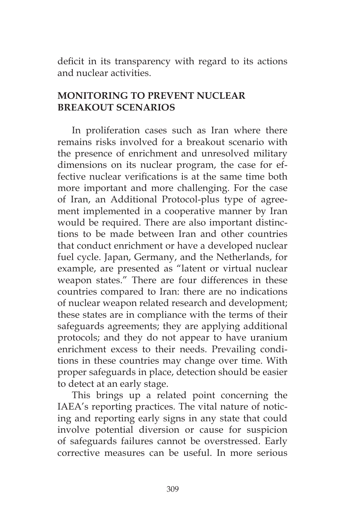deficit in its transparency with regard to its actions and nuclear activities.

# **MONITORING TO PREVENT NUCLEAR BREAKOUT SCENARIOS**

In proliferation cases such as Iran where there remains risks involved for a breakout scenario with the presence of enrichment and unresolved military dimensions on its nuclear program, the case for effective nuclear verifications is at the same time both more important and more challenging. For the case of Iran, an Additional Protocol-plus type of agreement implemented in a cooperative manner by Iran would be required. There are also important distinctions to be made between Iran and other countries that conduct enrichment or have a developed nuclear fuel cycle. Japan, Germany, and the Netherlands, for example, are presented as "latent or virtual nuclear weapon states." There are four differences in these countries compared to Iran: there are no indications of nuclear weapon related research and development; these states are in compliance with the terms of their safeguards agreements; they are applying additional protocols; and they do not appear to have uranium enrichment excess to their needs. Prevailing conditions in these countries may change over time. With proper safeguards in place, detection should be easier to detect at an early stage.

This brings up a related point concerning the IAEA's reporting practices. The vital nature of noticing and reporting early signs in any state that could involve potential diversion or cause for suspicion of safeguards failures cannot be overstressed. Early corrective measures can be useful. In more serious